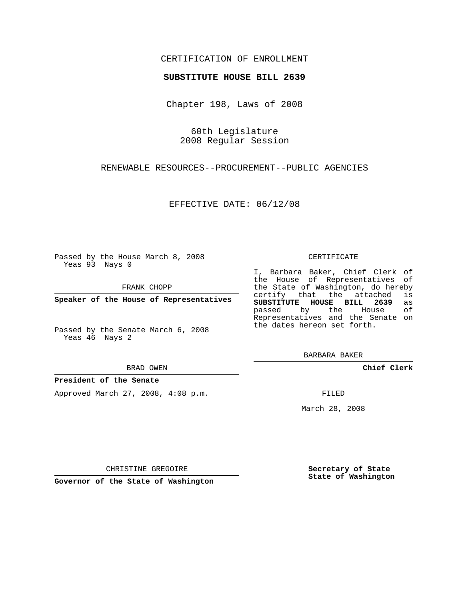### CERTIFICATION OF ENROLLMENT

### **SUBSTITUTE HOUSE BILL 2639**

Chapter 198, Laws of 2008

60th Legislature 2008 Regular Session

RENEWABLE RESOURCES--PROCUREMENT--PUBLIC AGENCIES

EFFECTIVE DATE: 06/12/08

Passed by the House March 8, 2008 Yeas 93 Nays 0

FRANK CHOPP

**Speaker of the House of Representatives**

Passed by the Senate March 6, 2008 Yeas 46 Nays 2

#### BRAD OWEN

### **President of the Senate**

Approved March 27, 2008, 4:08 p.m.

#### CERTIFICATE

I, Barbara Baker, Chief Clerk of the House of Representatives of the State of Washington, do hereby<br>certify that the attached is certify that the attached **SUBSTITUTE HOUSE BILL 2639** as passed by the House Representatives and the Senate on the dates hereon set forth.

BARBARA BAKER

**Chief Clerk**

FILED

March 28, 2008

CHRISTINE GREGOIRE

**Governor of the State of Washington**

**Secretary of State State of Washington**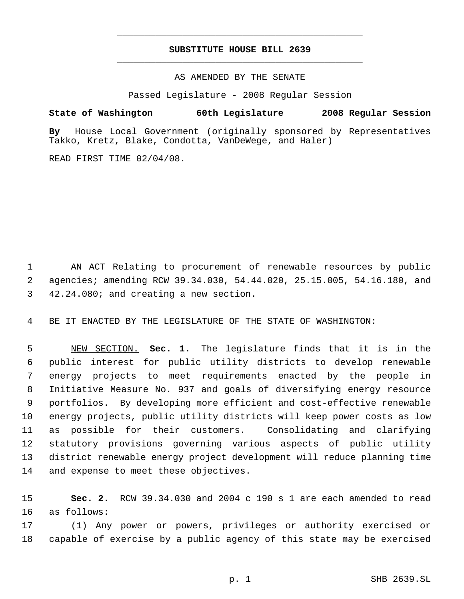# **SUBSTITUTE HOUSE BILL 2639** \_\_\_\_\_\_\_\_\_\_\_\_\_\_\_\_\_\_\_\_\_\_\_\_\_\_\_\_\_\_\_\_\_\_\_\_\_\_\_\_\_\_\_\_\_

\_\_\_\_\_\_\_\_\_\_\_\_\_\_\_\_\_\_\_\_\_\_\_\_\_\_\_\_\_\_\_\_\_\_\_\_\_\_\_\_\_\_\_\_\_

AS AMENDED BY THE SENATE

Passed Legislature - 2008 Regular Session

## **State of Washington 60th Legislature 2008 Regular Session**

**By** House Local Government (originally sponsored by Representatives Takko, Kretz, Blake, Condotta, VanDeWege, and Haler)

READ FIRST TIME 02/04/08.

 AN ACT Relating to procurement of renewable resources by public agencies; amending RCW 39.34.030, 54.44.020, 25.15.005, 54.16.180, and 42.24.080; and creating a new section.

BE IT ENACTED BY THE LEGISLATURE OF THE STATE OF WASHINGTON:

 NEW SECTION. **Sec. 1.** The legislature finds that it is in the public interest for public utility districts to develop renewable energy projects to meet requirements enacted by the people in Initiative Measure No. 937 and goals of diversifying energy resource portfolios. By developing more efficient and cost-effective renewable energy projects, public utility districts will keep power costs as low as possible for their customers. Consolidating and clarifying statutory provisions governing various aspects of public utility district renewable energy project development will reduce planning time and expense to meet these objectives.

 **Sec. 2.** RCW 39.34.030 and 2004 c 190 s 1 are each amended to read as follows:

 (1) Any power or powers, privileges or authority exercised or capable of exercise by a public agency of this state may be exercised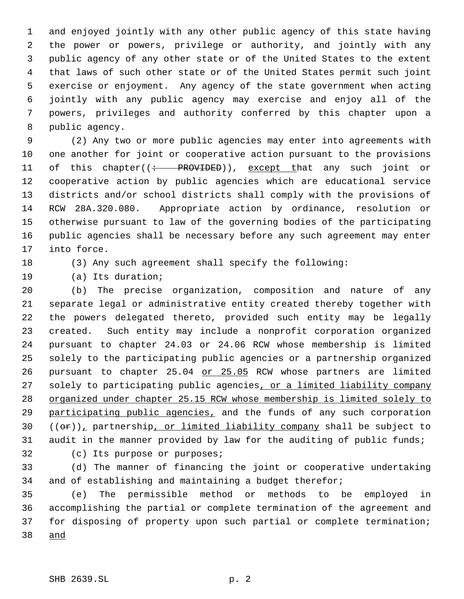and enjoyed jointly with any other public agency of this state having the power or powers, privilege or authority, and jointly with any public agency of any other state or of the United States to the extent that laws of such other state or of the United States permit such joint exercise or enjoyment. Any agency of the state government when acting jointly with any public agency may exercise and enjoy all of the powers, privileges and authority conferred by this chapter upon a public agency.

 (2) Any two or more public agencies may enter into agreements with one another for joint or cooperative action pursuant to the provisions 11 of this chapter((: PROVIDED)), except that any such joint or cooperative action by public agencies which are educational service districts and/or school districts shall comply with the provisions of RCW 28A.320.080. Appropriate action by ordinance, resolution or otherwise pursuant to law of the governing bodies of the participating public agencies shall be necessary before any such agreement may enter into force.

(3) Any such agreement shall specify the following:

(a) Its duration;

 (b) The precise organization, composition and nature of any separate legal or administrative entity created thereby together with the powers delegated thereto, provided such entity may be legally created. Such entity may include a nonprofit corporation organized pursuant to chapter 24.03 or 24.06 RCW whose membership is limited solely to the participating public agencies or a partnership organized 26 pursuant to chapter 25.04 or 25.05 RCW whose partners are limited 27 solely to participating public agencies, or a limited liability company organized under chapter 25.15 RCW whose membership is limited solely to 29 participating public agencies, and the funds of any such corporation  $((\theta \cdot \mathbf{r}))$ , partnership, or limited liability company shall be subject to audit in the manner provided by law for the auditing of public funds;

(c) Its purpose or purposes;

 (d) The manner of financing the joint or cooperative undertaking and of establishing and maintaining a budget therefor;

 (e) The permissible method or methods to be employed in accomplishing the partial or complete termination of the agreement and for disposing of property upon such partial or complete termination; and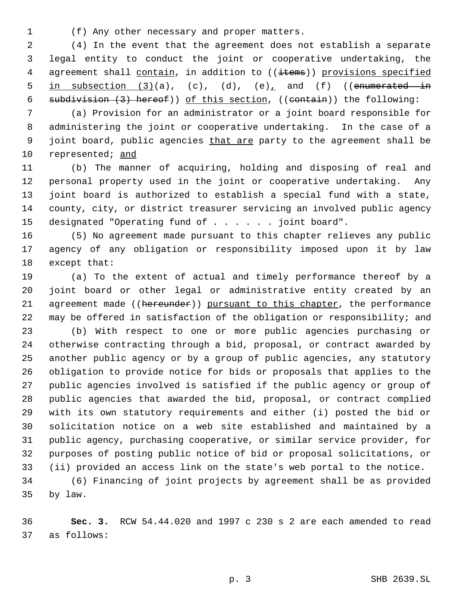(f) Any other necessary and proper matters.

 (4) In the event that the agreement does not establish a separate legal entity to conduct the joint or cooperative undertaking, the 4 agreement shall contain, in addition to ((items)) provisions specified 5 in subsection  $(3)(a)$ ,  $(c)$ ,  $(d)$ ,  $(e)$ , and  $(f)$  ((enumerated in subdivision (3) hereof)) of this section, ((contain)) the following:

 (a) Provision for an administrator or a joint board responsible for administering the joint or cooperative undertaking. In the case of a 9 joint board, public agencies that are party to the agreement shall be represented; and

 (b) The manner of acquiring, holding and disposing of real and personal property used in the joint or cooperative undertaking. Any joint board is authorized to establish a special fund with a state, county, city, or district treasurer servicing an involved public agency designated "Operating fund of . . . . . . joint board".

 (5) No agreement made pursuant to this chapter relieves any public agency of any obligation or responsibility imposed upon it by law except that:

 (a) To the extent of actual and timely performance thereof by a joint board or other legal or administrative entity created by an 21 agreement made ((hereunder)) pursuant to this chapter, the performance may be offered in satisfaction of the obligation or responsibility; and

 (b) With respect to one or more public agencies purchasing or otherwise contracting through a bid, proposal, or contract awarded by another public agency or by a group of public agencies, any statutory obligation to provide notice for bids or proposals that applies to the public agencies involved is satisfied if the public agency or group of public agencies that awarded the bid, proposal, or contract complied with its own statutory requirements and either (i) posted the bid or solicitation notice on a web site established and maintained by a public agency, purchasing cooperative, or similar service provider, for purposes of posting public notice of bid or proposal solicitations, or (ii) provided an access link on the state's web portal to the notice.

 (6) Financing of joint projects by agreement shall be as provided by law.

 **Sec. 3.** RCW 54.44.020 and 1997 c 230 s 2 are each amended to read as follows: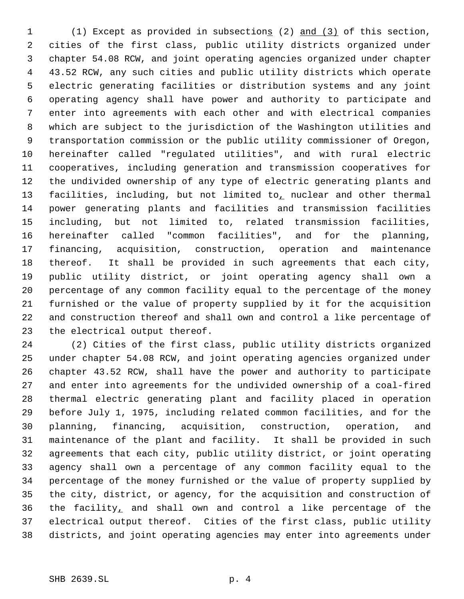(1) Except as provided in subsections (2) and (3) of this section, cities of the first class, public utility districts organized under chapter 54.08 RCW, and joint operating agencies organized under chapter 43.52 RCW, any such cities and public utility districts which operate electric generating facilities or distribution systems and any joint operating agency shall have power and authority to participate and enter into agreements with each other and with electrical companies which are subject to the jurisdiction of the Washington utilities and transportation commission or the public utility commissioner of Oregon, hereinafter called "regulated utilities", and with rural electric cooperatives, including generation and transmission cooperatives for the undivided ownership of any type of electric generating plants and 13 facilities, including, but not limited to<sub> $<sub>L</sub>$  nuclear and other thermal</sub></sub> power generating plants and facilities and transmission facilities including, but not limited to, related transmission facilities, hereinafter called "common facilities", and for the planning, financing, acquisition, construction, operation and maintenance thereof. It shall be provided in such agreements that each city, public utility district, or joint operating agency shall own a percentage of any common facility equal to the percentage of the money furnished or the value of property supplied by it for the acquisition and construction thereof and shall own and control a like percentage of the electrical output thereof.

 (2) Cities of the first class, public utility districts organized under chapter 54.08 RCW, and joint operating agencies organized under chapter 43.52 RCW, shall have the power and authority to participate and enter into agreements for the undivided ownership of a coal-fired thermal electric generating plant and facility placed in operation before July 1, 1975, including related common facilities, and for the planning, financing, acquisition, construction, operation, and maintenance of the plant and facility. It shall be provided in such agreements that each city, public utility district, or joint operating agency shall own a percentage of any common facility equal to the percentage of the money furnished or the value of property supplied by the city, district, or agency, for the acquisition and construction of the facility, and shall own and control a like percentage of the electrical output thereof. Cities of the first class, public utility districts, and joint operating agencies may enter into agreements under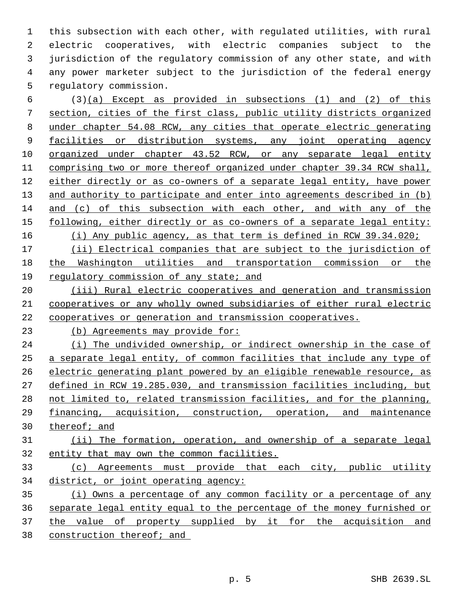this subsection with each other, with regulated utilities, with rural electric cooperatives, with electric companies subject to the jurisdiction of the regulatory commission of any other state, and with any power marketer subject to the jurisdiction of the federal energy regulatory commission.

 (3)(a) Except as provided in subsections (1) and (2) of this section, cities of the first class, public utility districts organized under chapter 54.08 RCW, any cities that operate electric generating facilities or distribution systems, any joint operating agency organized under chapter 43.52 RCW, or any separate legal entity comprising two or more thereof organized under chapter 39.34 RCW shall, either directly or as co-owners of a separate legal entity, have power 13 and authority to participate and enter into agreements described in (b) and (c) of this subsection with each other, and with any of the 15 following, either directly or as co-owners of a separate legal entity: (i) Any public agency, as that term is defined in RCW 39.34.020;

 (ii) Electrical companies that are subject to the jurisdiction of the Washington utilities and transportation commission or the 19 regulatory commission of any state; and

20 (iii) Rural electric cooperatives and generation and transmission cooperatives or any wholly owned subsidiaries of either rural electric cooperatives or generation and transmission cooperatives.

(b) Agreements may provide for:

24 (i) The undivided ownership, or indirect ownership in the case of a separate legal entity, of common facilities that include any type of electric generating plant powered by an eligible renewable resource, as defined in RCW 19.285.030, and transmission facilities including, but not limited to, related transmission facilities, and for the planning, financing, acquisition, construction, operation, and maintenance thereof; and

 (ii) The formation, operation, and ownership of a separate legal entity that may own the common facilities.

 (c) Agreements must provide that each city, public utility district, or joint operating agency:

 (i) Owns a percentage of any common facility or a percentage of any separate legal entity equal to the percentage of the money furnished or 37 the value of property supplied by it for the acquisition and construction thereof; and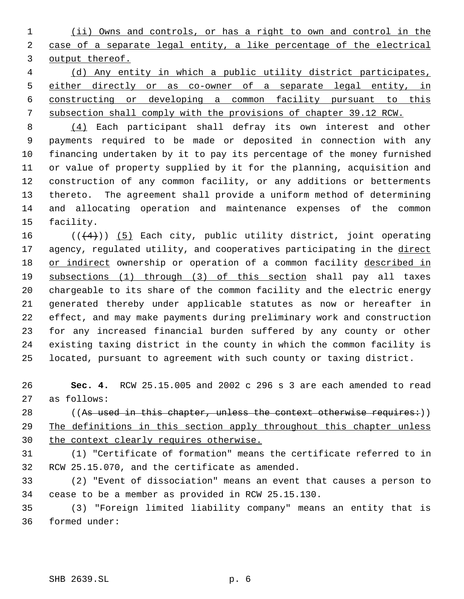(ii) Owns and controls, or has a right to own and control in the case of a separate legal entity, a like percentage of the electrical output thereof.

 (d) Any entity in which a public utility district participates, 5 either directly or as co-owner of a separate legal entity, in constructing or developing a common facility pursuant to this subsection shall comply with the provisions of chapter 39.12 RCW.

 (4) Each participant shall defray its own interest and other payments required to be made or deposited in connection with any financing undertaken by it to pay its percentage of the money furnished or value of property supplied by it for the planning, acquisition and construction of any common facility, or any additions or betterments thereto. The agreement shall provide a uniform method of determining and allocating operation and maintenance expenses of the common facility.

 $((+4))$  (5) Each city, public utility district, joint operating 17 agency, regulated utility, and cooperatives participating in the direct 18 or indirect ownership or operation of a common facility described in subsections (1) through (3) of this section shall pay all taxes chargeable to its share of the common facility and the electric energy generated thereby under applicable statutes as now or hereafter in effect, and may make payments during preliminary work and construction for any increased financial burden suffered by any county or other existing taxing district in the county in which the common facility is located, pursuant to agreement with such county or taxing district.

 **Sec. 4.** RCW 25.15.005 and 2002 c 296 s 3 are each amended to read as follows:

28 ((As used in this chapter, unless the context otherwise requires:)) 29 The definitions in this section apply throughout this chapter unless 30 the context clearly requires otherwise.

 (1) "Certificate of formation" means the certificate referred to in RCW 25.15.070, and the certificate as amended.

 (2) "Event of dissociation" means an event that causes a person to cease to be a member as provided in RCW 25.15.130.

 (3) "Foreign limited liability company" means an entity that is formed under: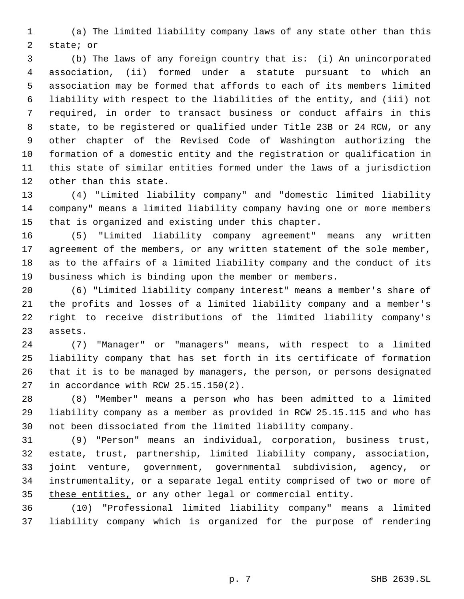(a) The limited liability company laws of any state other than this state; or

 (b) The laws of any foreign country that is: (i) An unincorporated association, (ii) formed under a statute pursuant to which an association may be formed that affords to each of its members limited liability with respect to the liabilities of the entity, and (iii) not required, in order to transact business or conduct affairs in this state, to be registered or qualified under Title 23B or 24 RCW, or any other chapter of the Revised Code of Washington authorizing the formation of a domestic entity and the registration or qualification in this state of similar entities formed under the laws of a jurisdiction other than this state.

 (4) "Limited liability company" and "domestic limited liability company" means a limited liability company having one or more members that is organized and existing under this chapter.

 (5) "Limited liability company agreement" means any written 17 agreement of the members, or any written statement of the sole member, as to the affairs of a limited liability company and the conduct of its business which is binding upon the member or members.

 (6) "Limited liability company interest" means a member's share of the profits and losses of a limited liability company and a member's right to receive distributions of the limited liability company's assets.

 (7) "Manager" or "managers" means, with respect to a limited liability company that has set forth in its certificate of formation that it is to be managed by managers, the person, or persons designated in accordance with RCW 25.15.150(2).

 (8) "Member" means a person who has been admitted to a limited liability company as a member as provided in RCW 25.15.115 and who has not been dissociated from the limited liability company.

 (9) "Person" means an individual, corporation, business trust, estate, trust, partnership, limited liability company, association, joint venture, government, governmental subdivision, agency, or instrumentality, or a separate legal entity comprised of two or more of 35 these entities, or any other legal or commercial entity.

 (10) "Professional limited liability company" means a limited liability company which is organized for the purpose of rendering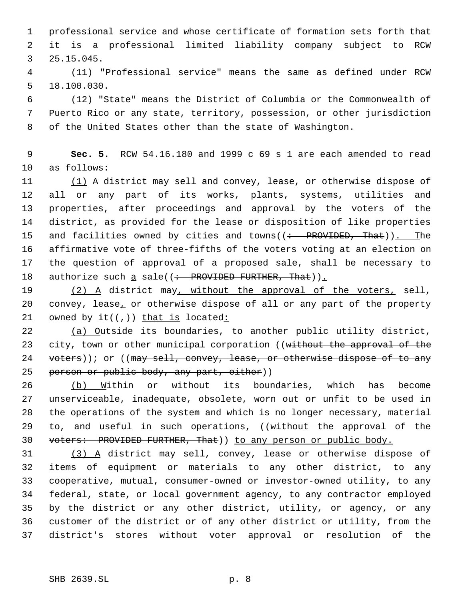professional service and whose certificate of formation sets forth that it is a professional limited liability company subject to RCW 25.15.045.

 (11) "Professional service" means the same as defined under RCW 18.100.030.

 (12) "State" means the District of Columbia or the Commonwealth of Puerto Rico or any state, territory, possession, or other jurisdiction of the United States other than the state of Washington.

 **Sec. 5.** RCW 54.16.180 and 1999 c 69 s 1 are each amended to read as follows:

11 (1) A district may sell and convey, lease, or otherwise dispose of all or any part of its works, plants, systems, utilities and properties, after proceedings and approval by the voters of the district, as provided for the lease or disposition of like properties 15 and facilities owned by cities and towns((: PROVIDED, That)). The affirmative vote of three-fifths of the voters voting at an election on the question of approval of a proposed sale, shall be necessary to 18 authorize such a sale( $\left( \div \text{ PROVIDED FURTHER, That} \right)$ ).

19 (2) A district may, without the approval of the voters, sell, convey, lease, or otherwise dispose of all or any part of the property 21 owned by it( $(\tau)$ ) that is located:

 (a) Outside its boundaries, to another public utility district, 23 city, town or other municipal corporation ((without the approval of the 24 voters)); or ((may sell, convey, lease, or otherwise dispose of to any 25 person or public body, any part, either))

 (b) Within or without its boundaries, which has become unserviceable, inadequate, obsolete, worn out or unfit to be used in the operations of the system and which is no longer necessary, material 29 to, and useful in such operations, ((without the approval of the 30 voters: PROVIDED FURTHER, That) to any person or public body.

 (3) A district may sell, convey, lease or otherwise dispose of items of equipment or materials to any other district, to any cooperative, mutual, consumer-owned or investor-owned utility, to any federal, state, or local government agency, to any contractor employed by the district or any other district, utility, or agency, or any customer of the district or of any other district or utility, from the district's stores without voter approval or resolution of the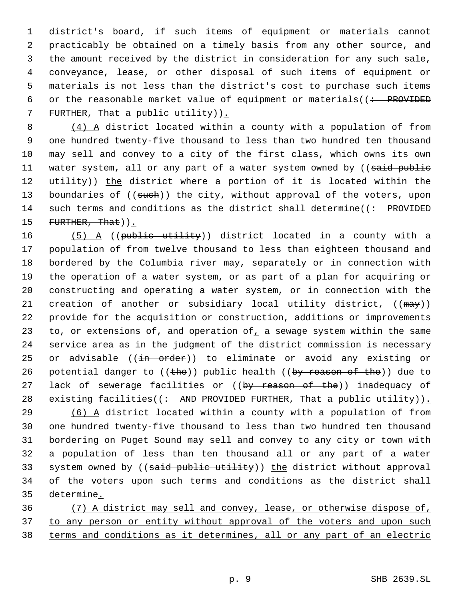district's board, if such items of equipment or materials cannot practicably be obtained on a timely basis from any other source, and the amount received by the district in consideration for any such sale, conveyance, lease, or other disposal of such items of equipment or materials is not less than the district's cost to purchase such items 6 or the reasonable market value of equipment or materials( $($  : PROVIDED 7 FURTHER, That a public utility)).

 8 (4) A district located within a county with a population of from 9 one hundred twenty-five thousand to less than two hundred ten thousand 10 may sell and convey to a city of the first class, which owns its own 11 water system, all or any part of a water system owned by ((said public 12 utility)) the district where a portion of it is located within the 13 boundaries of ((such)) the city, without approval of the voters, upon 14 such terms and conditions as the district shall determine( $\left( \div \text{ - }$  PROVIDED 15 FURTHER, That)  $\sum$ 

16 (5) A ((public utility)) district located in a county with a 17 population of from twelve thousand to less than eighteen thousand and 18 bordered by the Columbia river may, separately or in connection with 19 the operation of a water system, or as part of a plan for acquiring or 20 constructing and operating a water system, or in connection with the 21 creation of another or subsidiary local utility district, ((may)) 22 provide for the acquisition or construction, additions or improvements 23 to, or extensions of, and operation of a sewage system within the same 24 service area as in the judgment of the district commission is necessary 25 or advisable ((in order)) to eliminate or avoid any existing or 26 potential danger to  $((the))$  public health  $((by reason of the))$  due to 27 lack of sewerage facilities or ((by reason of the)) inadequacy of 28 existing facilities( $($  : AND PROVIDED FURTHER, That a public utility)).

 (6) A district located within a county with a population of from one hundred twenty-five thousand to less than two hundred ten thousand bordering on Puget Sound may sell and convey to any city or town with a population of less than ten thousand all or any part of a water 33 system owned by ((said public utility)) the district without approval of the voters upon such terms and conditions as the district shall determine.

36 (7) A district may sell and convey, lease, or otherwise dispose of, 37 to any person or entity without approval of the voters and upon such 38 terms and conditions as it determines, all or any part of an electric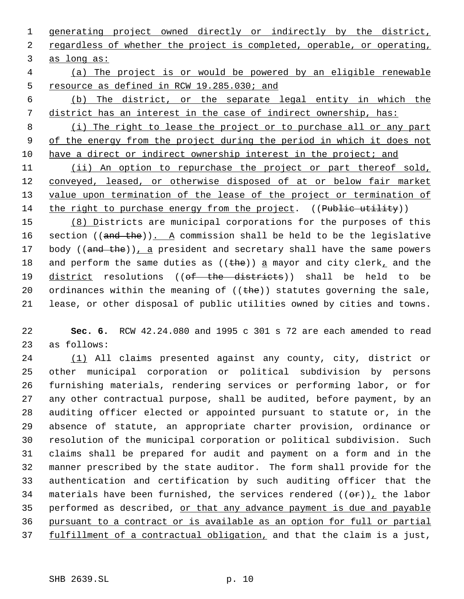1 generating project owned directly or indirectly by the district, 2 regardless of whether the project is completed, operable, or operating, 3 as long as:

- 4 (a) The project is or would be powered by an eligible renewable 5 resource as defined in RCW 19.285.030; and
- 6 (b) The district, or the separate legal entity in which the 7 district has an interest in the case of indirect ownership, has:

 8 (i) The right to lease the project or to purchase all or any part 9 of the energy from the project during the period in which it does not 10 have a direct or indirect ownership interest in the project; and

11 (ii) An option to repurchase the project or part thereof sold, 12 conveyed, leased, or otherwise disposed of at or below fair market 13 value upon termination of the lease of the project or termination of 14 the right to purchase energy from the project. ((Public utility))

15 (8) Districts are municipal corporations for the purposes of this 16 section  $((and the))$ . A commission shall be held to be the legislative 17 body ((and the)), a president and secretary shall have the same powers 18 and perform the same duties as  $((the))$  a mayor and city clerk, and the 19 district resolutions ((of the districts)) shall be held to be 20 ordinances within the meaning of  $((the)$ ) statutes governing the sale, 21 lease, or other disposal of public utilities owned by cities and towns.

22 **Sec. 6.** RCW 42.24.080 and 1995 c 301 s 72 are each amended to read 23 as follows:

 (1) All claims presented against any county, city, district or other municipal corporation or political subdivision by persons furnishing materials, rendering services or performing labor, or for any other contractual purpose, shall be audited, before payment, by an auditing officer elected or appointed pursuant to statute or, in the absence of statute, an appropriate charter provision, ordinance or resolution of the municipal corporation or political subdivision. Such claims shall be prepared for audit and payment on a form and in the manner prescribed by the state auditor. The form shall provide for the authentication and certification by such auditing officer that the 34 materials have been furnished, the services rendered  $((\theta \hat{r}))_L$  the labor 35 performed as described, or that any advance payment is due and payable pursuant to a contract or is available as an option for full or partial 37 fulfillment of a contractual obligation, and that the claim is a just,